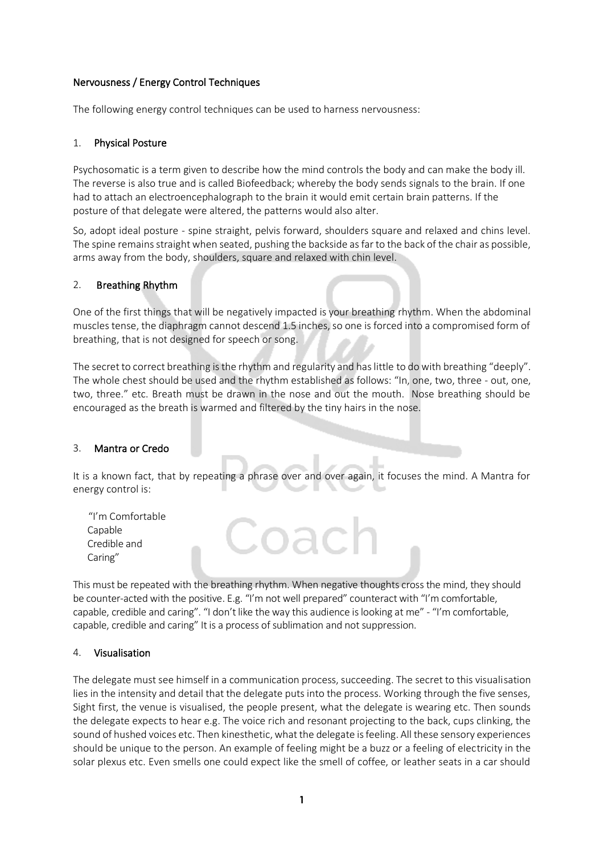### Nervousness / Energy Control Techniques

The following energy control techniques can be used to harness nervousness:

### 1. Physical Posture

Psychosomatic is a term given to describe how the mind controls the body and can make the body ill. The reverse is also true and is called Biofeedback; whereby the body sends signals to the brain. If one had to attach an electroencephalograph to the brain it would emit certain brain patterns. If the posture of that delegate were altered, the patterns would also alter.

So, adopt ideal posture - spine straight, pelvis forward, shoulders square and relaxed and chins level. The spine remains straight when seated, pushing the backside as far to the back of the chair as possible, arms away from the body, shoulders, square and relaxed with chin level.

# 2. Breathing Rhythm

One of the first things that will be negatively impacted is your breathing rhythm. When the abdominal muscles tense, the diaphragm cannot descend 1.5 inches, so one is forced into a compromised form of breathing, that is not designed for speech or song.

The secret to correct breathing is the rhythm and regularity and has little to do with breathing "deeply". The whole chest should be used and the rhythm established as follows: "In, one, two, three - out, one, two, three." etc. Breath must be drawn in the nose and out the mouth. Nose breathing should be encouraged as the breath is warmed and filtered by the tiny hairs in the nose.

#### 3. Mantra or Credo

It is a known fact, that by repeating a phrase over and over again, it focuses the mind. A Mantra for energy control is:

| "I'm Comfortable |  |
|------------------|--|
| Capable          |  |
| Credible and     |  |
| Caring"          |  |

This must be repeated with the breathing rhythm. When negative thoughts cross the mind, they should be counter-acted with the positive. E.g. "I'm not well prepared" counteract with "I'm comfortable, capable, credible and caring". "I don't like the way this audience is looking at me" - "I'm comfortable, capable, credible and caring" It is a process of sublimation and not suppression.

Coac

#### 4. Visualisation

The delegate must see himself in a communication process, succeeding. The secret to this visualisation lies in the intensity and detail that the delegate puts into the process. Working through the five senses, Sight first, the venue is visualised, the people present, what the delegate is wearing etc. Then sounds the delegate expects to hear e.g. The voice rich and resonant projecting to the back, cups clinking, the sound of hushed voices etc. Then kinesthetic, what the delegate is feeling. All these sensory experiences should be unique to the person. An example of feeling might be a buzz or a feeling of electricity in the solar plexus etc. Even smells one could expect like the smell of coffee, or leather seats in a car should